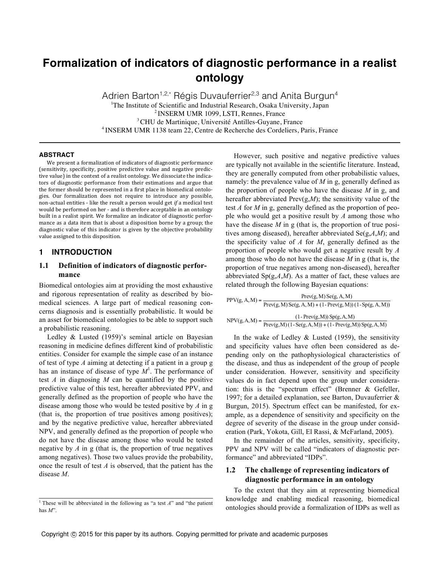# **Formalization of indicators of diagnostic performance in a realist ontology**

Adrien Barton<sup>1,2,\*</sup> Régis Duvauferrier<sup>2,3</sup> and Anita Burgun<sup>4</sup> <sup>1</sup>The Institute of Scientific and Industrial Research, Osaka University, Japan 2 INSERM UMR 1099, LSTI, Rennes, France <sup>3</sup> CHU de Martinique, Université Antilles-Guyane, France <sup>4</sup> INSERM UMR 1138 team 22, Centre de Recherche des Cordeliers, Paris, France

#### **ABSTRACT**

We present a formalization of indicators of diagnostic performance (sensitivity, specificity, positive predictive value and negative predictive value) in the context of a realist ontology. We dissociate the indicators of diagnostic performance from their estimations and argue that the former should be represented in a first place in biomedical ontologies. Our formalization does not require to introduce any possible, non-actual entities - like the result a person would get *if* a medical test would be performed on her - and is therefore acceptable in an ontology built in a realist spirit. We formalize an indicator of diagnostic performance as a data item that is about a disposition borne by a group; the diagnostic value of this indicator is given by the objective probability value assigned to this disposition.

### **1 INTRODUCTION**

## **1.1 Definition of indicators of diagnostic performance**

Biomedical ontologies aim at providing the most exhaustive and rigorous representation of reality as described by biomedical sciences. A large part of medical reasoning concerns diagnosis and is essentially probabilistic. It would be an asset for biomedical ontologies to be able to support such a probabilistic reasoning.

Ledley & Lusted (1959)'s seminal article on Bayesian reasoning in medicine defines different kind of probabilistic entities. Consider for example the simple case of an instance of test of type *A* aiming at detecting if a patient in a group g has an instance of disease of type  $M<sup>1</sup>$ . The performance of test *A* in diagnosing *M* can be quantified by the positive predictive value of this test, hereafter abbreviated PPV, and generally defined as the proportion of people who have the disease among those who would be tested positive by *A* in g (that is, the proportion of true positives among positives); and by the negative predictive value, hereafter abbreviated NPV, and generally defined as the proportion of people who do not have the disease among those who would be tested negative by *A* in g (that is, the proportion of true negatives among negatives). Those two values provide the probability, once the result of test *A* is observed, that the patient has the disease *M*.

However, such positive and negative predictive values are typically not available in the scientific literature. Instead, they are generally computed from other probabilistic values, namely: the prevalence value of *M* in g, generally defined as the proportion of people who have the disease *M* in g, and hereafter abbreviated  $Prev(g,M)$ ; the sensitivity value of the test *A* for *M* in g, generally defined as the proportion of people who would get a positive result by *A* among those who have the disease *M* in g (that is, the proportion of true positives among diseased), hereafter abbreviated Se(g,*A*,*M*); and the specificity value of *A* for *M*, generally defined as the proportion of people who would get a negative result by *A* among those who do not have the disease *M* in g (that is, the proportion of true negatives among non-diseased), hereafter abbreviated  $Sp(g, A, M)$ . As a matter of fact, these values are related through the following Bayesian equations:

| $PPV(g, A, M) =$ | $Prev(g, M)$ Se $(g, A, M)$                                     |
|------------------|-----------------------------------------------------------------|
|                  | $Prev(g, M)$ $Se(g, A, M) + (1 - Prev(g, M)) (1 - Sp(g, A, M))$ |
| $NPV(g, A, M) =$ | $(1 - Prev(g, M))$ Sp $(g, A, M)$                               |
|                  | $Prev(g, M)$ (1 - Se(g, A, M)) + (1 - Prev(g, M)) Sp(g, A, M)   |

In the wake of Ledley  $&$  Lusted (1959), the sensitivity and specificity values have often been considered as depending only on the pathophysiological characteristics of the disease, and thus as independent of the group of people under consideration. However, sensitivity and specificity values do in fact depend upon the group under consideration: this is the "spectrum effect" (Brenner & Gefeller, 1997; for a detailed explanation, see Barton, Duvauferrier & Burgun, 2015). Spectrum effect can be manifested, for example, as a dependence of sensitivity and specificity on the degree of severity of the disease in the group under consideration (Park, Yokota, Gill, El Rassi, & McFarland, 2005).

In the remainder of the articles, sensitivity, specificity, PPV and NPV will be called "indicators of diagnostic performance" and abbreviated "IDPs".

## **1.2 The challenge of representing indicators of diagnostic performance in an ontology**

To the extent that they aim at representing biomedical knowledge and enabling medical reasoning, biomedical ontologies should provide a formalization of IDPs as well as

<sup>&</sup>lt;sup>1</sup> These will be abbreviated in the following as "a test *A*" and "the patient has *M*".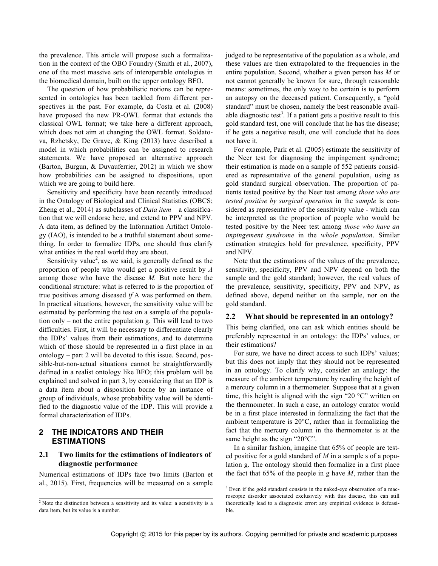the prevalence. This article will propose such a formalization in the context of the OBO Foundry (Smith et al., 2007), one of the most massive sets of interoperable ontologies in the biomedical domain, built on the upper ontology BFO.

The question of how probabilistic notions can be represented in ontologies has been tackled from different perspectives in the past. For example, da Costa et al. (2008) have proposed the new PR-OWL format that extends the classical OWL format; we take here a different approach, which does not aim at changing the OWL format. Soldatova, Rzhetsky, De Grave, & King (2013) have described a model in which probabilities can be assigned to research statements. We have proposed an alternative approach (Barton, Burgun, & Duvauferrier, 2012) in which we show how probabilities can be assigned to dispositions, upon which we are going to build here.

Sensitivity and specificity have been recently introduced in the Ontology of Biological and Clinical Statistics (OBCS; Zheng et al., 2014) as subclasses of *Data item* – a classification that we will endorse here, and extend to PPV and NPV. A data item, as defined by the Information Artifact Ontology (IAO), is intended to be a truthful statement about something. In order to formalize IDPs, one should thus clarify what entities in the real world they are about.

Sensitivity value<sup>2</sup>, as we said, is generally defined as the proportion of people who would get a positive result by *A* among those who have the disease *M.* But note here the conditional structure: what is referred to is the proportion of true positives among diseased *if* A was performed on them. In practical situations, however, the sensitivity value will be estimated by performing the test on a sample of the population only – not the entire population g. This will lead to two difficulties. First, it will be necessary to differentiate clearly the IDPs' values from their estimations, and to determine which of those should be represented in a first place in an ontology – part 2 will be devoted to this issue. Second, possible-but-non-actual situations cannot be straightforwardly defined in a realist ontology like BFO; this problem will be explained and solved in part 3, by considering that an IDP is a data item about a disposition borne by an instance of group of individuals, whose probability value will be identified to the diagnostic value of the IDP. This will provide a formal characterization of IDPs.

## **2 THE INDICATORS AND THEIR ESTIMATIONS**

## **2.1 Two limits for the estimations of indicators of diagnostic performance**

Numerical estimations of IDPs face two limits (Barton et al., 2015). First, frequencies will be measured on a sample judged to be representative of the population as a whole, and these values are then extrapolated to the frequencies in the entire population. Second, whether a given person has *M* or not cannot generally be known for sure, through reasonable means: sometimes, the only way to be certain is to perform an autopsy on the deceased patient. Consequently, a "gold standard" must be chosen, namely the best reasonable available diagnostic test<sup>3</sup>. If a patient gets a positive result to this gold standard test, one will conclude that he has the disease; if he gets a negative result, one will conclude that he does not have it.

For example, Park et al. (2005) estimate the sensitivity of the Neer test for diagnosing the impingement syndrome; their estimation is made on a sample of 552 patients considered as representative of the general population, using as gold standard surgical observation. The proportion of patients tested positive by the Neer test among *those who are tested positive by surgical operation* in the *sample* is considered as representative of the sensitivity value - which can be interpreted as the proportion of people who would be tested positive by the Neer test among *those who have an impingement syndrome* in the *whole population*. Similar estimation strategies hold for prevalence, specificity, PPV and NPV.

Note that the estimations of the values of the prevalence, sensitivity, specificity, PPV and NPV depend on both the sample and the gold standard; however, the real values of the prevalence, sensitivity, specificity, PPV and NPV, as defined above, depend neither on the sample, nor on the gold standard.

#### **2.2 What should be represented in an ontology?**

This being clarified, one can ask which entities should be preferably represented in an ontology: the IDPs' values, or their estimations?

For sure, we have no direct access to such IDPs' values; but this does not imply that they should not be represented in an ontology. To clarify why, consider an analogy: the measure of the ambient temperature by reading the height of a mercury column in a thermometer. Suppose that at a given time, this height is aligned with the sign "20 °C" written on the thermometer. In such a case, an ontology curator would be in a first place interested in formalizing the fact that the ambient temperature is 20°C, rather than in formalizing the fact that the mercury column in the thermometer is at the same height as the sign "20°C".

In a similar fashion, imagine that 65% of people are tested positive for a gold standard of *M* in a sample s of a population g. The ontology should then formalize in a first place the fact that 65% of the people in g have *M*, rather than the

<sup>&</sup>lt;sup>2</sup> Note the distinction between a sensitivity and its value: a sensitivity is a data item, but its value is a number.

 $3$  Even if the gold standard consists in the naked-eye observation of a macroscopic disorder associated exclusively with this disease, this can still theoretically lead to a diagnostic error: any empirical evidence is defeasible.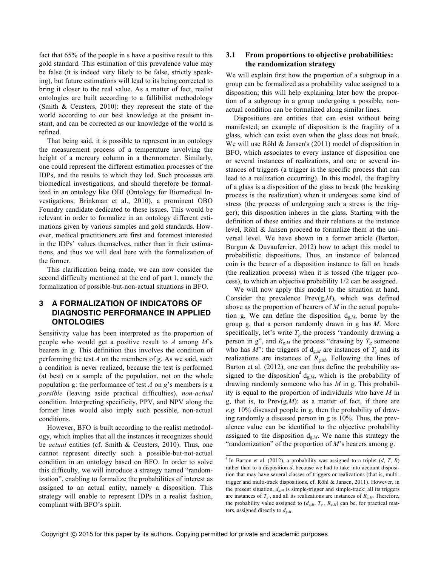fact that 65% of the people in s have a positive result to this gold standard. This estimation of this prevalence value may be false (it is indeed very likely to be false, strictly speaking), but future estimations will lead to its being corrected to bring it closer to the real value. As a matter of fact, realist ontologies are built according to a fallibilist methodology (Smith & Ceusters, 2010): they represent the state of the world according to our best knowledge at the present instant, and can be corrected as our knowledge of the world is refined.

That being said, it is possible to represent in an ontology the measurement process of a temperature involving the height of a mercury column in a thermometer. Similarly, one could represent the different estimation processes of the IDPs, and the results to which they led. Such processes are biomedical investigations, and should therefore be formalized in an ontology like OBI (Ontology for Biomedical Investigations, Brinkman et al., 2010), a prominent OBO Foundry candidate dedicated to these issues. This would be relevant in order to formalize in an ontology different estimations given by various samples and gold standards. However, medical practitioners are first and foremost interested in the IDPs' values themselves, rather than in their estimations, and thus we will deal here with the formalization of the former.

This clarification being made, we can now consider the second difficulty mentioned at the end of part 1, namely the formalization of possible-but-non-actual situations in BFO.

# **3 A FORMALIZATION OF INDICATORS OF DIAGNOSTIC PERFORMANCE IN APPLIED ONTOLOGIES**

Sensitivity value has been interpreted as the proportion of people who would get a positive result to *A* among *M*'s bearers in *g*. This definition thus involves the condition of performing the test *A* on the members of g. As we said, such a condition is never realized, because the test is performed (at best) on a sample of the population, not on the whole population g: the performance of test *A* on *g*'s members is a *possible* (leaving aside practical difficulties), *non-actual* condition. Interpreting specificity, PPV, and NPV along the former lines would also imply such possible, non-actual conditions.

However, BFO is built according to the realist methodology, which implies that all the instances it recognizes should be *actual* entities (cf. Smith & Ceusters, 2010). Thus, one cannot represent directly such a possible-but-not-actual condition in an ontology based on BFO. In order to solve this difficulty, we will introduce a strategy named "randomization", enabling to formalize the probabilities of interest as assigned to an actual entity, namely a disposition. This strategy will enable to represent IDPs in a realist fashion, compliant with BFO's spirit.

## **3.1 From proportions to objective probabilities: the randomization strategy**

We will explain first how the proportion of a subgroup in a group can be formalized as a probability value assigned to a disposition; this will help explaining later how the proportion of a subgroup in a group undergoing a possible, nonactual condition can be formalized along similar lines.

Dispositions are entities that can exist without being manifested; an example of disposition is the fragility of a glass, which can exist even when the glass does not break. We will use Röhl & Jansen's (2011) model of disposition in BFO, which associates to every instance of disposition one or several instances of realizations, and one or several instances of triggers (a trigger is the specific process that can lead to a realization occurring). In this model, the fragility of a glass is a disposition of the glass to break (the breaking process is the realization) when it undergoes some kind of stress (the process of undergoing such a stress is the trigger); this disposition inheres in the glass. Starting with the definition of these entities and their relations at the instance level, Röhl & Jansen proceed to formalize them at the universal level. We have shown in a former article (Barton, Burgun & Duvauferrier, 2012) how to adapt this model to probabilistic dispositions. Thus, an instance of balanced coin is the bearer of a disposition instance to fall on heads (the realization process) when it is tossed (the trigger process), to which an objective probability 1/2 can be assigned.

We will now apply this model to the situation at hand. Consider the prevalence Prev(g,*M*), which was defined above as the proportion of bearers of *M* in the actual population g. We can define the disposition dg,*M*, borne by the group g, that a person randomly drawn in g has *M*. More specifically, let's write  $T_g$  the process "randomly drawing a person in g", and  $R_{g,M}$  the process "drawing by  $T_g$  someone who has  $M$ ": the triggers of  $d_{g,M}$  are instances of  $T_g$  and its realizations are instances of  $R_{g,M}$ . Following the lines of Barton et al. (2012), one can thus define the probability assigned to the disposition<sup>4</sup> d<sub>g,*M*</sub>, which is the probability of drawing randomly someone who has *M* in g. This probability is equal to the proportion of individuals who have *M* in g, that is, to Prev(g,*M*): as a matter of fact, if there are *e.g.* 10% diseased people in g, then the probability of drawing randomly a diseased person in g is 10%. Thus, the prevalence value can be identified to the objective probability assigned to the disposition dg,*M*. We name this strategy the "randomization" of the proportion of *M*'s bearers among g.

 $4$  In Barton et al. (2012), a probability was assigned to a triplet (*d*, *T*, *R*) rather than to a disposition *d*, because we had to take into account disposition that may have several classes of triggers or realizations (that is, multitrigger and multi-track dispositions, cf. Röhl & Jansen, 2011). However, in the present situation,  $d_{g,M}$  is simple-trigger and simple-track: all its triggers are instances of  $T_g$ , and all its realizations are instances of  $R_{g,M}$ . Therefore, the probability value assigned to  $(d_{g,M}, T_g, R_{g,M})$  can be, for practical matters, assigned directly to *dg,M*.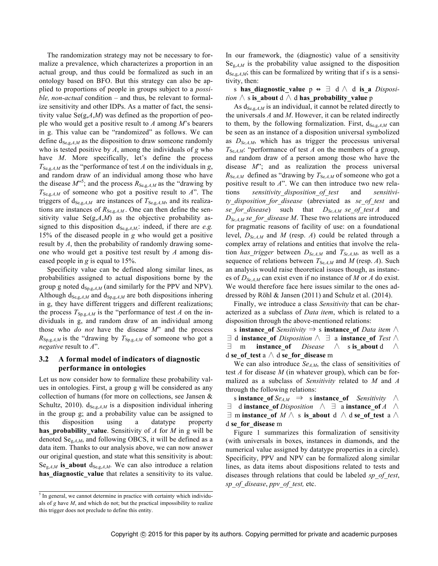The randomization strategy may not be necessary to formalize a prevalence, which characterizes a proportion in an actual group, and thus could be formalized as such in an ontology based on BFO. But this strategy can also be applied to proportions of people in groups subject to a *possible, non-actual* condition – and thus, be relevant to formalize sensitivity and other IDPs. As a matter of fact, the sensitivity value Se(g,*A*,*M*) was defined as the proportion of people who would get a positive result to *A* among *M*'s bearers in g. This value can be "randomized" as follows. We can define  $d_{\text{Se},g,A,M}$  as the disposition to draw someone randomly who is tested positive by *A*, among the individuals of *g* who have *M*. More specifically, let's define the process  $T_{\text{Se},g,A,M}$  as the "performance of test *A* on the individuals in *g*, and random draw of an individual among those who have the disease  $M^{5}$ ; and the process  $R_{\text{Se,g},A,M}$  as the "drawing by  $T_{\text{Se,g},A,M}$  of someone who got a positive result to  $A$ ". The triggers of  $d_{\text{Se},g,A,M}$  are instances of  $T_{\text{Se},g,A,M}$ , and its realizations are instances of  $R_{\text{Se},g,A,M}$ . One can then define the sensitivity value  $Se(g,A,M)$  as the objective probability assigned to this disposition  $d_{\text{Se,g},A,M}$ : indeed, if there are *e.g.* 15% of the diseased people in *g* who would get a positive result by *A*, then the probability of randomly drawing someone who would get a positive test result by *A* among diseased people in *g* is equal to 15%.

Specificity value can be defined along similar lines, as probabilities assigned to actual dispositions borne by the group g noted  $d_{Sp,g,A,M}$  (and similarly for the PPV and NPV). Although  $d_{\text{Se},g,A,M}$  and  $d_{\text{So},g,A,M}$  are both dispositions inhering in g, they have different triggers and different realizations; the process  $T_{Sp,g,A,M}$  is the "performance of test *A* on the individuals in g, and random draw of an individual among those who *do not* have the disease *M*" and the process  $R_{\text{Sp,g},A,M}$  is the "drawing by  $T_{\text{Sp,g},A,M}$  of someone who got a *negative* result to *A*".

## **3.2 A formal model of indicators of diagnostic performance in ontologies**

Let us now consider how to formalize these probability values in ontologies. First, a group g will be considered as any collection of humans (for more on collections, see Jansen & Schultz, 2010).  $d_{\text{Se},g,A,M}$  is a disposition individual inhering in the group g; and a probability value can be assigned to this disposition using a datatype property **has\_probability\_value**. Sensitivity of *A* for *M* in g will be denoted Seg,*A*,*M*, and following OBCS, it will be defined as a data item. Thanks to our analysis above, we can now answer our original question, and state what this sensitivity is about:  $Se_{g,A,M}$  is about  $d_{Se,g,A,M}$ . We can also introduce a relation has diagnostic value that relates a sensitivity to its value. In our framework, the (diagnostic) value of a sensitivity Se<sub>g *AM*</sub> is the probability value assigned to the disposition  $d_{\text{Se},g,A,M}$ ; this can be formalized by writing that if s is a sensitivity, then:

s has diagnostic value  $p \leftrightarrow \exists d \wedge d$  is a *Disposition* ∧ s **is\_about** d ∧ d **has\_probability\_value** p

As  $d_{\text{Se},g,A,M}$  is an individual, it cannot be related directly to the universals *A* and *M*. However, it can be related indirectly to them, by the following formalization. First,  $d_{\text{Se},g,A,M}$  can be seen as an instance of a disposition universal symbolized as  $D_{Se,AM}$ , which has as trigger the processus universal  $T_{\text{Se},A,M}$ : "performance of test *A* on the members of a group, and random draw of a person among those who have the disease *M*"; and as realization the process universal  $R_{\text{Se},A,M}$  defined as "drawing by  $T_{\text{Se},A,M}$  of someone who got a positive result to *A*". We can then introduce two new relations *sensitivity\_disposition\_of\_test* and *sensitivity\_disposition\_for\_disease* (abreviated as *se\_of\_test* and *se\_for\_disease*) such that *DSe,A,M se\_of\_test A* and  $D_{SeAM}$  *se for disease M*. These two relations are introduced for pragmatic reasons of facility of use: on a foundational level,  $D_{Se,AM}$  and *M* (resp. *A*) could be related through a complex array of relations and entities that involve the relation *has\_trigger* between  $D_{\text{Se},A,M}$  and  $T_{\text{Se},A,M}$ , as well as a sequence of relations between  $T_{\text{Se},A,M}$  and  $M$  (resp.  $A$ ). Such an analysis would raise theoretical issues though, as instances of  $D_{Se,AM}$  can exist even if no instance of M or A do exist. We would therefore face here issues similar to the ones addressed by Röhl & Jansen (2011) and Schulz et al. (2014).

Finally, we introduce a class *Sensitivity* that can be characterized as a subclass of *Data item*, which is related to a disposition through the above-mentioned relations:

s **instance** of *Sensitivity*  $\Rightarrow$  s **instance** of *Data item* ∧  $\exists$  d **instance** of *Disposition*  $\wedge$   $\exists$  a **instance** of *Test*  $\wedge$ ∃ m **instance\_of** *Disease* ∧ s **is\_about** d ∧ d **se\_of\_test** a ∧ d **se\_for\_disease** m

We can also introduce  $Se<sub>AM</sub>$ , the class of sensitivities of test *A* for disease *M* (in whatever group), which can be formalized as a subclass of *Sensitivity* related to *M* and *A* through the following relations:

s **instance** of  $Se_{AM}$   $\Rightarrow$  s **instance** of *Sensitivity* ∧  $\exists$  d **instance** of *Disposition*  $\land$   $\exists$  a **instance** of *A*  $\land$  $\exists$  m **instance** of *M*  $\land$  s **is about** d  $\land$  d **se** of test a  $\land$ d **se\_for\_disease** m

Figure 1 summarizes this formalization of sensitivity (with universals in boxes, instances in diamonds, and the numerical value assigned by datatype properties in a circle). Specificity, PPV and NPV can be formalized along similar lines, as data items about dispositions related to tests and diseases through relations that could be labeled *sp\_of\_test*, *sp\_of\_disease*, *ppv\_of\_test,* etc.

<sup>&</sup>lt;sup>5</sup> In general, we cannot determine in practice with certainty which individuals of *g* have *M*, and which do not; but the practical impossibility to realize this trigger does not preclude to define this entity.